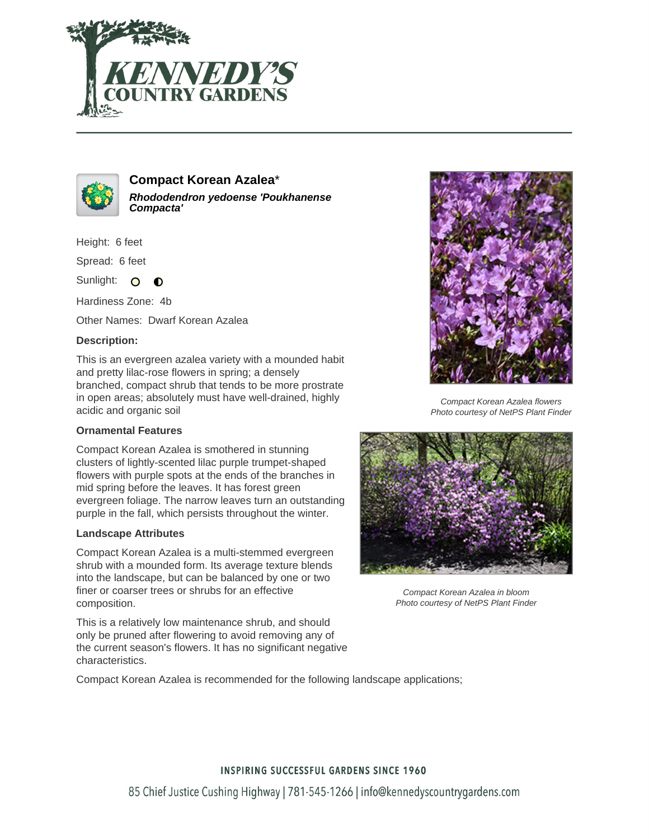



# **Compact Korean Azalea**\* **Rhododendron yedoense 'Poukhanense Compacta'**

Height: 6 feet

Spread: 6 feet

Sunlight: O  $\bullet$ 

Hardiness Zone: 4b

Other Names: Dwarf Korean Azalea

## **Description:**

This is an evergreen azalea variety with a mounded habit and pretty lilac-rose flowers in spring; a densely branched, compact shrub that tends to be more prostrate in open areas; absolutely must have well-drained, highly acidic and organic soil

### **Ornamental Features**

Compact Korean Azalea is smothered in stunning clusters of lightly-scented lilac purple trumpet-shaped flowers with purple spots at the ends of the branches in mid spring before the leaves. It has forest green evergreen foliage. The narrow leaves turn an outstanding purple in the fall, which persists throughout the winter.

### **Landscape Attributes**

Compact Korean Azalea is a multi-stemmed evergreen shrub with a mounded form. Its average texture blends into the landscape, but can be balanced by one or two finer or coarser trees or shrubs for an effective composition.

This is a relatively low maintenance shrub, and should only be pruned after flowering to avoid removing any of the current season's flowers. It has no significant negative characteristics.

Compact Korean Azalea flowers Photo courtesy of NetPS Plant Finder



Compact Korean Azalea in bloom Photo courtesy of NetPS Plant Finder

Compact Korean Azalea is recommended for the following landscape applications;

### **INSPIRING SUCCESSFUL GARDENS SINCE 1960**

85 Chief Justice Cushing Highway | 781-545-1266 | info@kennedyscountrygardens.com